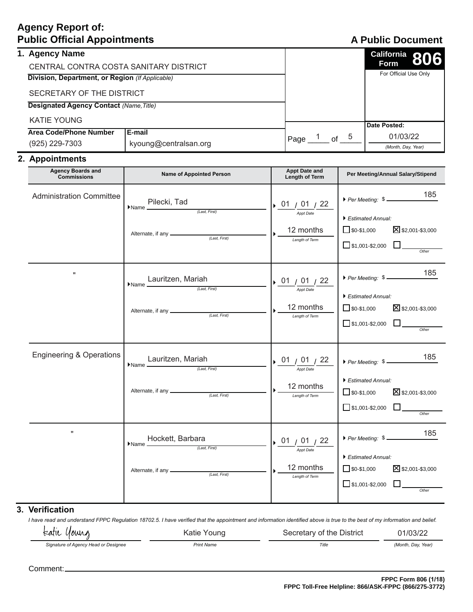# **Agency Report of: Public Official Appointments**

# **A Public Document**

| 1. Agency Name                                                              |                                        |  |      |    |   | California 806        |
|-----------------------------------------------------------------------------|----------------------------------------|--|------|----|---|-----------------------|
|                                                                             | CENTRAL CONTRA COSTA SANITARY DISTRICT |  |      |    |   | Form                  |
| Division, Department, or Region (If Applicable)                             |                                        |  |      |    |   | For Official Use Only |
| SECRETARY OF THE DISTRICT<br><b>Designated Agency Contact (Name, Title)</b> |                                        |  |      |    |   |                       |
|                                                                             |                                        |  |      |    |   |                       |
| KATIE YOUNG                                                                 |                                        |  |      |    |   |                       |
| Area Code/Phone Number                                                      | E-mail                                 |  |      |    |   | Date Posted:          |
|                                                                             |                                        |  | Page | of | 5 | 01/03/22              |
| (925) 229-7303                                                              | kyoung@centralsan.org                  |  |      |    |   | (Month, Day, Year)    |

### 2. Appointments

| <b>Agency Boards and</b><br><b>Commissions</b> | <b>Name of Appointed Person</b>                                                                                    | <b>Appt Date and</b><br>Length of Term                      | Per Meeting/Annual Salary/Stipend                                                                                                |
|------------------------------------------------|--------------------------------------------------------------------------------------------------------------------|-------------------------------------------------------------|----------------------------------------------------------------------------------------------------------------------------------|
| <b>Administration Committee</b>                | Pilecki, Tad<br>$\blacktriangleright$ Name $\perp$                                                                 | 01/01/22<br><b>Appt Date</b><br>12 months<br>Length of Term | 185<br>Per Meeting: \$<br>Estimated Annual:<br>$\Box$ \$0-\$1,000<br>X \$2,001-\$3,000<br>$\Box$ \$1,001-\$2,000 $\Box$          |
| $\pmb{\mathsf{H}}$                             | Lauritzen, Mariah<br>$\blacktriangleright$ Name $\equiv$                                                           | 01 / 01 / 22<br>Appt Date<br>12 months<br>Length of Term    | 185<br>Per Meeting: \$<br>Estimated Annual:<br>$\Box$ \$0-\$1,000<br>$\Sigma$ \$2,001-\$3,000<br>$\Box$ \$1,001-\$2,000<br>Other |
| <b>Engineering &amp; Operations</b>            | $\frac{\text{Lauritzen, Mariah}}{\text{Name } \xrightarrow{\text{Last, First}}}$                                   | 01/01/22<br>Appt Date<br>12 months<br>Length of Term        | 185<br>Per Meeting: \$<br>Estimated Annual:<br>$\sqrt{\$0 - $1,000}$<br>⊠ \$2,001-\$3,000<br>$\Box$ \$1,001-\$2,000<br>Other     |
| Ħ                                              | $\begin{array}{r} \text{Hockett, Barbara} \\ \hline \text{Name} \xrightarrow{\text{(Last, First)}} \\ \end{array}$ | 01 / 01 / 22<br>Appt Date<br>12 months<br>Length of Term    | 185<br>Per Meeting: \$<br>Estimated Annual:<br>$\Box$ \$0-\$1,000<br>⊠ \$2,001-\$3,000<br>$\Box$ \$1,001-\$2,000<br>Other        |

### **3. Verification**

I have read and understand FPPC Regulation 18702.5. I have verified that the appointment and information identified above is true to the best of my information and belief.

teatic young Katie Young Secretary of the District 01/03/22 Signature of Agency Head or Designee **3DRUXUFTS 3DRUXUFTS 3DRUXTS 3DRUXTS 3DRUX 3DRUX 3DRUX 7** *(Month, Day, Year)* **3DRUXUFTS**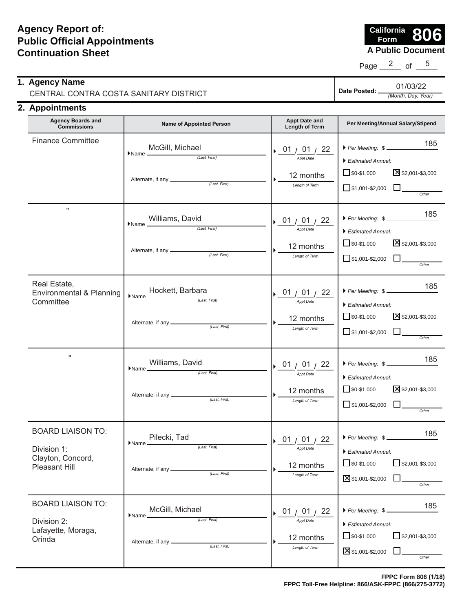**A Public Document California Form 806**

Page  $\frac{2}{5}$  of  $\frac{5}{5}$ 

| 1. Agency Name                         |              | 01/03/22           |
|----------------------------------------|--------------|--------------------|
| CENTRAL CONTRA COSTA SANITARY DISTRICT | Date Posted: | (Month, Day, Year) |
| ___                                    |              |                    |

#### 2. Appointments

| <b>Agency Boards and</b><br><b>Commissions</b>                                | <b>Name of Appointed Person</b>                                                                                      | <b>Appt Date and</b><br>Length of Term                                 | Per Meeting/Annual Salary/Stipend                                                                                                     |
|-------------------------------------------------------------------------------|----------------------------------------------------------------------------------------------------------------------|------------------------------------------------------------------------|---------------------------------------------------------------------------------------------------------------------------------------|
| <b>Finance Committee</b>                                                      | McGill, Michael<br>$\blacktriangleright$ Name $\frac{1 \vee 1 \vee \cdots}{\text{(Last, First)}}$                    | $\rightarrow$ 01 / 01 / 22<br>Appt Date<br>12 months<br>Length of Term | 185<br>Per Meeting: \$<br>$\blacktriangleright$ Estimated Annual:<br>S\$2,001-\$3,000<br>$\Box$ \$0-\$1,000<br>$\Box$ \$1,001-\$2,000 |
| $\mathbf{u}$                                                                  | Williams, David<br>$\bullet$ Name $($ Last, First $)$                                                                | $\rightarrow$ 01 / 01 / 22<br>Appt Date<br>12 months<br>Length of Term | 185<br>Per Meeting: \$<br>Estimated Annual:<br>X \$2,001-\$3,000<br>$\Box$ \$0-\$1,000<br>$\Box$ \$1,001-\$2,000 $\Box$               |
| Real Estate,<br>Environmental & Planning<br>Committee                         | $\blacktriangleright$ Name $\underbrace{\hspace{1.5cm}}_{\text{l.ast, First}}$                                       | $\rightarrow$ 01 / 01 / 22<br>Appt Date<br>12 months<br>Length of Term | 185<br>Per Meeting: \$<br>Estimated Annual:<br>S \$2,001-\$3,000<br>$\Box$ \$0-\$1,000<br>$\Box$ \$1,001-\$2,000<br>Other             |
| $\pmb{\mathsf{H}}$                                                            | $\frac{\text{Williams, David}}{\text{Name}}$                                                                         | $\rightarrow$ 01 / 01 / 22<br>Appt Date<br>12 months<br>Length of Term | 185<br>Per Meeting: \$<br>Estimated Annual:<br>X \$2,001-\$3,000<br>$\Box$ \$0-\$1,000<br>$\Box$ \$1,001-\$2,000 $\Box$<br>Other      |
| <b>BOARD LIAISON TO:</b><br>Division 1:<br>Clayton, Concord,<br>Pleasant Hill | Pilecki, Tad<br>$\blacktriangleright$ Name $\perp$<br>(Last, First)<br>Alternate, if any __________<br>(Last, First) | 01<br>22<br><b>Appt Date</b><br>12 months<br>Length of Term            | 185<br>Per Meeting: \$<br>Estimated Annual:<br>$\Box$ \$0-\$1,000<br>$\Box$ \$2,001-\$3,000<br>⊠\$1,001-\$2,000                       |
| <b>BOARD LIAISON TO:</b><br>Division 2:<br>Lafayette, Moraga,<br>Orinda       | McGill, Michael<br>$\blacktriangleright$ Name $\blacktriangle$<br>(Last, First)<br>(Last, First)                     | 01/01/22<br><b>Appt Date</b><br>12 months<br>Length of Term            | 185<br>Per Meeting: \$<br>Estimated Annual:<br>$\Box$ \$0-\$1,000<br>$\Box$ \$2,001-\$3,000<br>S1,001-\$2,000<br>Other                |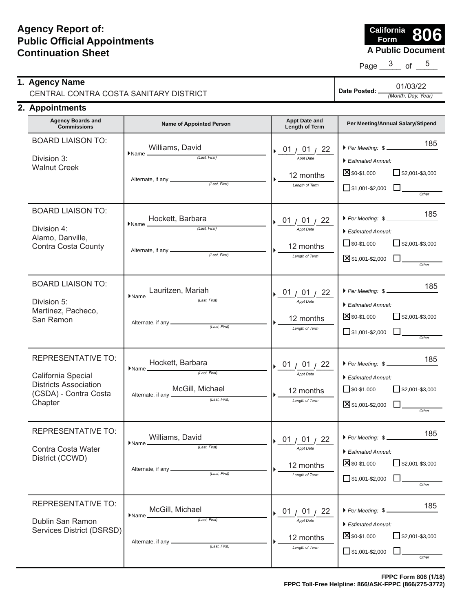**A Public Document California Form 806**

Page  $\frac{3}{2}$  of  $\frac{5}{2}$ 

|               | 1. Agency Name                         |                | 01/03/22           |
|---------------|----------------------------------------|----------------|--------------------|
|               | CENTRAL CONTRA COSTA SANITARY DISTRICT | Date Posted: . | (Month, Day, Year) |
| $\rightarrow$ |                                        |                |                    |

### **2. Appointments**

| <b>Agency Boards and</b><br><b>Commissions</b>                                                               | <b>Name of Appointed Person</b>                                                                                                                                                                                                                                                                                                                                                                                                                                    | <b>Appt Date and</b><br>Length of Term                                        | Per Meeting/Annual Salary/Stipend                                                                                                           |
|--------------------------------------------------------------------------------------------------------------|--------------------------------------------------------------------------------------------------------------------------------------------------------------------------------------------------------------------------------------------------------------------------------------------------------------------------------------------------------------------------------------------------------------------------------------------------------------------|-------------------------------------------------------------------------------|---------------------------------------------------------------------------------------------------------------------------------------------|
| <b>BOARD LIAISON TO:</b><br>Division 3:<br><b>Walnut Creek</b>                                               | Williams, David<br>$\blacktriangleright$ Name $\rule{1em}{0.15mm}$<br>(Last, First)<br>Alternate, if any ______________<br>(Last, First)                                                                                                                                                                                                                                                                                                                           | $\rightarrow$ 01 / 01 / 22<br>Appt Date<br>12 months<br>Length of Term        | 185<br>Per Meeting: \$<br>Estimated Annual:<br>$\times$ \$0-\$1,000<br>$\Box$ \$2,001-\$3,000<br>$\Box$ \$1,001-\$2,000                     |
| <b>BOARD LIAISON TO:</b><br>Division 4:<br>Alamo, Danville,<br><b>Contra Costa County</b>                    | Hockett, Barbara<br>$\blacktriangleright$ Name $\frac{1}{\sqrt{1-\frac{1}{2}}}\cdot\frac{1}{\sqrt{1-\frac{1}{2}}}\cdot\frac{1}{\sqrt{1-\frac{1}{2}}}\cdot\frac{1}{\sqrt{1-\frac{1}{2}}}\cdot\frac{1}{\sqrt{1-\frac{1}{2}}}\cdot\frac{1}{\sqrt{1-\frac{1}{2}}}\cdot\frac{1}{\sqrt{1-\frac{1}{2}}}\cdot\frac{1}{\sqrt{1-\frac{1}{2}}}\cdot\frac{1}{\sqrt{1-\frac{1}{2}}}\cdot\frac{1}{\sqrt{1-\frac{1}{2}}}\cdot\frac{1}{\sqrt{1-\frac{1}{2}}}\cdot\frac{1}{\sqrt{1$ | $\rightarrow$ 01 / 01 / 22<br>Appt Date<br>12 months<br>Length of Term        | 185<br>Per Meeting: \$<br>Estimated Annual:<br>$\Box$ \$2,001-\$3,000<br>$\Box$ \$0-\$1,000<br>$\boxtimes$ \$1,001-\$2,000<br>Other         |
| <b>BOARD LIAISON TO:</b><br>Division 5:<br>Martinez, Pacheco,<br>San Ramon                                   | Lauritzen, Mariah<br>$\blacktriangleright$ Name $\frac{244112211, 101111}{\text{(Last, First)}}$                                                                                                                                                                                                                                                                                                                                                                   | $\rightarrow$ 01 / 01 / 22<br><b>Appt Date</b><br>12 months<br>Length of Term | 185<br>Per Meeting: \$<br>Estimated Annual:<br><b>X</b> \$0-\$1,000<br>$\Box$ \$2,001-\$3,000<br>$\Box$ \$1,001-\$2,000 $\Box$<br>Other     |
| REPRESENTATIVE TO:<br>California Special<br><b>Districts Association</b><br>(CSDA) - Contra Costa<br>Chapter | Hockett, Barbara<br>$\blacktriangleright$ Name $\frac{1}{\text{(Last, First)}}$<br>McGill, Michael<br>Alternate, if any $\frac{1}{\sqrt{2\pi}}$ (Last, First)                                                                                                                                                                                                                                                                                                      | $\sqrt{01/01/22}$<br>Appt Date<br>12 months<br>Length of Term                 | 185<br>Per Meeting: \$<br>Estimated Annual:<br>$\sqrt{\$0 - $1,000}$<br>$\Box$ \$2,001-\$3,000<br>■\$1,001-\$2,000 ■<br>Other               |
| REPRESENTATIVE TO:<br>Contra Costa Water<br>District (CCWD)                                                  | Williams, David<br>$\blacktriangleright$ Name $\frac{\blacktriangleright$ (Last, First)<br>Alternate, if any $\equiv$<br>(Last, First)                                                                                                                                                                                                                                                                                                                             | $\rightarrow$ 01 / 01 / 22<br><b>Appt Date</b><br>12 months<br>Length of Term | 185<br>Per Meeting: \$<br>Estimated Annual:<br>X \$0-\$1,000<br>$\overline{\phantom{1}}$ \$2,001-\$3,000<br>$\Box$ \$1,001-\$2,000<br>Other |
| <b>REPRESENTATIVE TO:</b><br>Dublin San Ramon<br>Services District (DSRSD)                                   | McGill, Michael<br>$\blacktriangleright$ Name $\blacktriangle$<br>(Last. First)<br>Alternate, if any __<br>(Last, First)                                                                                                                                                                                                                                                                                                                                           | 01 $/$ 22<br>01/<br><b>Appt Date</b><br>12 months<br>Length of Term           | 185<br>Per Meeting: \$<br>Estimated Annual:<br>X \$0-\$1,000<br>$\Box$ \$2,001-\$3,000<br>$\Box$ \$1,001-\$2,000<br>Other                   |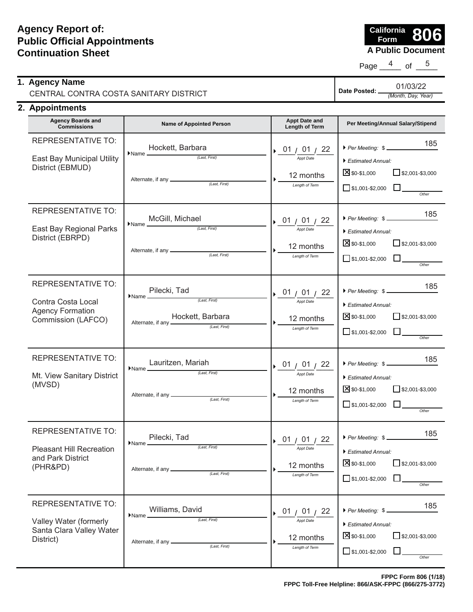**A Public Document California Form 806**

Page  $\frac{4}{10}$  of  $\frac{5}{10}$ 

| 1. Agency Name                         | Date Posted: | 01/03/22           |
|----------------------------------------|--------------|--------------------|
| CENTRAL CONTRA COSTA SANITARY DISTRICT |              | (Month, Day, Year) |
| 2. Appointments                        |              |                    |

| <b>Agency Boards and</b><br><b>Commissions</b>                                                   | <b>Name of Appointed Person</b>                                                                                                                                                                          | Appt Date and<br>Length of Term                                               | Per Meeting/Annual Salary/Stipend                                                                                                                                                  |
|--------------------------------------------------------------------------------------------------|----------------------------------------------------------------------------------------------------------------------------------------------------------------------------------------------------------|-------------------------------------------------------------------------------|------------------------------------------------------------------------------------------------------------------------------------------------------------------------------------|
| <b>REPRESENTATIVE TO:</b><br>East Bay Municipal Utility<br>District (EBMUD)                      | Hockett, Barbara<br>$\blacktriangleright$ Name $\frac{\qquad \qquad }{\qquad \qquad }$ (Last, First)                                                                                                     | $\rightarrow$ 01 / 01 / 22<br>Appt Date<br>12 months<br>Length of Term        | 185<br>Per Meeting: \$<br>Estimated Annual:<br>X \$0-\$1,000<br>$\Box$ \$2,001-\$3,000<br>$\Box$ \$1,001-\$2,000<br>Other                                                          |
| REPRESENTATIVE TO:<br>East Bay Regional Parks<br>District (EBRPD)                                | McGill, Michael<br>$\blacktriangleright$ Name $\frac{100 \times 100}{\text{200}}$ (Last, First)                                                                                                          | $\rightarrow$ 01 / 01 / 22<br><b>Appt Date</b><br>12 months<br>Length of Term | 185<br>Per Meeting: \$<br>Estimated Annual:<br><b>X</b> \$0-\$1,000<br>$\Box$ \$2,001-\$3,000<br>$\Box$ \$1,001-\$2,000<br>Other                                                   |
| <b>REPRESENTATIVE TO:</b><br>Contra Costa Local<br><b>Agency Formation</b><br>Commission (LAFCO) | $\begin{array}{r}\n\text{Plane } \text{Filecki, Tad} \\ \hline\n\text{Name} & \xrightarrow{\text{(Last, First)}}\n\end{array}$<br>Hockett, Barbara<br>Alternate, if any <u>Alternative (Last, First)</u> | 01/01/22<br><b>Appt Date</b><br>12 months<br>Length of Term                   | 185<br>Per Meeting: \$<br>Estimated Annual:<br>$\Sigma$ \$0-\$1,000<br>$\Box$ \$2,001-\$3,000<br>$\Box$ \$1,001-\$2,000<br>Other                                                   |
| <b>REPRESENTATIVE TO:</b><br>Mt. View Sanitary District<br>(MVSD)                                | Lauritzen, Mariah<br>$\blacktriangleright$ Name $\sqrt{2\pi i}$ (Last, First)                                                                                                                            | 01 $/$ 01 $/$ 22<br>Appt Date<br>12 months<br>Length of Term                  | 185<br>$\triangleright$ Per Meeting: $\frac{1}{2}$<br>$\blacktriangleright$ Estimated Annual:<br>$\times$ \$0-\$1,000<br>$\Box$ \$2,001-\$3,000<br>$\Box$ \$1,001-\$2,000<br>Other |
| REPRESENTATIVE TO:<br><b>Pleasant Hill Recreation</b><br>and Park District<br>(PHR&PD)           | Pilecki, Tad<br>$\blacktriangleright$ Name $\perp$<br>(Last, First)<br>Alternate, if any __________<br>(Last, First)                                                                                     | 01 / 01 /<br><b>Appt Date</b><br>12 months<br>Length of Term                  | 185<br>Per Meeting: \$<br>Estimated Annual:<br>X \$0-\$1,000<br>$\Box$ \$2,001-\$3,000<br>$\Box$ \$1,001-\$2,000                                                                   |
| REPRESENTATIVE TO:<br>Valley Water (formerly<br>Santa Clara Valley Water<br>District)            | Williams, David<br>$\blacktriangleright$ Name $\blacktriangle$<br>(Last, First)<br>Alternate, if any $\equiv$<br>(Last, First)                                                                           | 01 $/$ 01 $/$ 22<br><b>Appt Date</b><br>12 months<br>Length of Term           | 185<br>Per Meeting: \$-<br>Estimated Annual:<br>X \$0-\$1,000<br>$\Box$ \$2,001-\$3,000<br>$\Box$ \$1,001-\$2,000<br>Other                                                         |